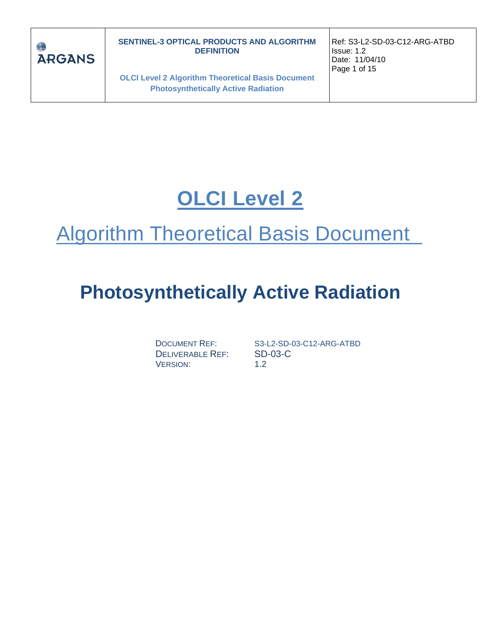

**OLCI Level 2 Algorithm Theoretical Basis Document Photosynthetically Active Radiation**

Ref: S3-L2-SD-03-C12-ARG-ATBD Issue: 1.2 Date: 11/04/10 Page 1 of 15

# **OLCI Level 2**

# Algorithm Theoretical Basis Document

# **Photosynthetically Active Radiation**

DELIVERABLE REF: SD-03-C VERSION: 1.2

DOCUMENT REF: S3-L2-SD-03-C12-ARG-ATBD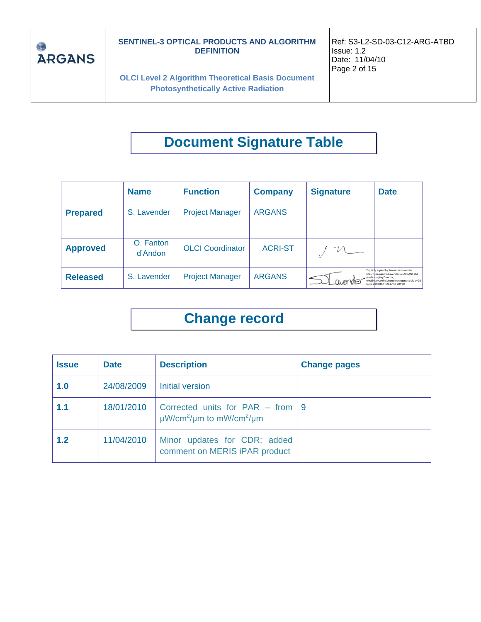

**OLCI Level 2 Algorithm Theoretical Basis Document Photosynthetically Active Radiation**

# **Document Signature Table**

|                 | <b>Name</b>          | <b>Function</b>         | <b>Company</b> | <b>Signature</b> | <b>Date</b>                                                                                                                                                                                  |
|-----------------|----------------------|-------------------------|----------------|------------------|----------------------------------------------------------------------------------------------------------------------------------------------------------------------------------------------|
| <b>Prepared</b> | S. Lavender          | <b>Project Manager</b>  | <b>ARGANS</b>  |                  |                                                                                                                                                                                              |
| <b>Approved</b> | O. Fanton<br>d'Andon | <b>OLCI</b> Coordinator | <b>ACRI-ST</b> | -M               |                                                                                                                                                                                              |
| <b>Released</b> | S. Lavender          | <b>Project Manager</b>  | <b>ARGANS</b>  |                  | Digitally signed by Samantha Lavender<br>DN: cn-Samantha Lavender, o=ARGANS Ltd.<br>ou=Managing Director.<br>email=samantha.lavender@argans.co.uk, c=GB<br>Date: 1010.04.11 23:07:58 +01'00' |

## **Change record**

| <b>Issue</b> | <b>Date</b> | <b>Description</b>                                                                        | <b>Change pages</b> |
|--------------|-------------|-------------------------------------------------------------------------------------------|---------------------|
| 1.0          | 24/08/2009  | <b>Initial version</b>                                                                    |                     |
| 1.1          | 18/01/2010  | Corrected units for PAR – from 9<br>$\mu$ W/cm <sup>2</sup> /µm to mW/cm <sup>2</sup> /µm |                     |
| 1.2          | 11/04/2010  | Minor updates for CDR: added<br>comment on MERIS iPAR product                             |                     |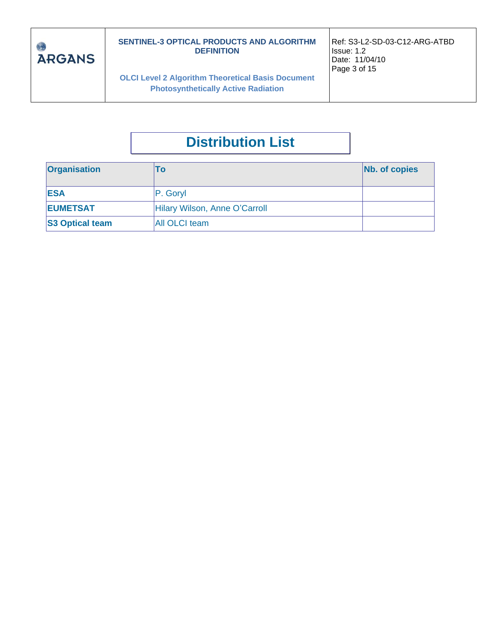

**OLCI Level 2 Algorithm Theoretical Basis Document Photosynthetically Active Radiation**

Ref: S3-L2-SD-03-C12-ARG-ATBD Issue: 1.2 Date: 11/04/10 Page 3 of 15

## **Distribution List**

| <b>Organisation</b>    | l O                           | Nb. of copies |
|------------------------|-------------------------------|---------------|
| <b>IESA</b>            | P. Goryl                      |               |
| <b>EUMETSAT</b>        | Hilary Wilson, Anne O'Carroll |               |
| <b>S3 Optical team</b> | All OLCI team                 |               |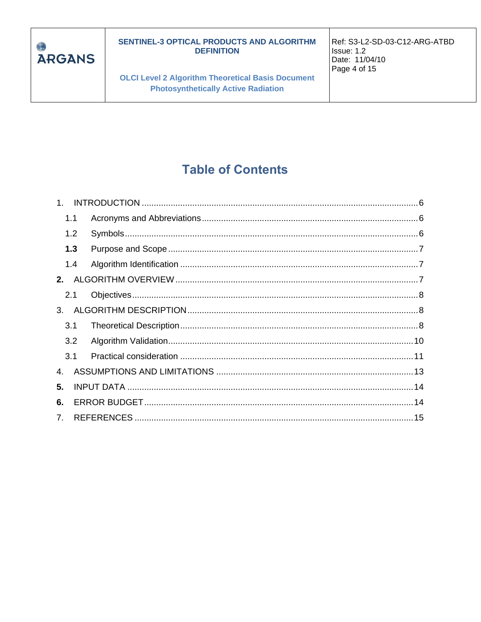

**OLCI Level 2 Algorithm Theoretical Basis Document Photosynthetically Active Radiation** 

Ref: S3-L2-SD-03-C12-ARG-ATBD Issue: 1.2 Date: 11/04/10 Page 4 of 15

## **Table of Contents**

|                                  | 1.1 |  |
|----------------------------------|-----|--|
|                                  | 1.2 |  |
|                                  | 1.3 |  |
|                                  | 1.4 |  |
| 2.                               |     |  |
| 2.1                              |     |  |
| 3 <sub>1</sub>                   |     |  |
|                                  | 3.1 |  |
|                                  | 3.2 |  |
|                                  | 3.1 |  |
| 4.                               |     |  |
| 5.                               |     |  |
| 6.                               |     |  |
| $7_{\scriptscriptstyle{\ddots}}$ |     |  |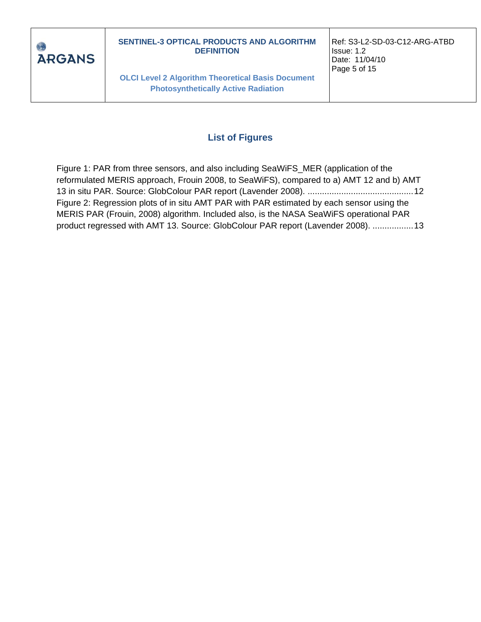

**OLCI Level 2 Algorithm Theoretical Basis Document Photosynthetically Active Radiation**

Ref: S3-L2-SD-03-C12-ARG-ATBD Issue: 1.2 Date: 11/04/10 Page 5 of 15

#### **List of Figures**

[Figure 1: PAR from three sensors, and also including SeaWiFS\\_MER \(application of the](#page-11-0)  reformulated MERIS approach, [Frouin 2008, to SeaWiFS\), compared to a\) AMT 12 and b\) AMT](#page-11-0)  [13 in situ PAR. Source: GlobColour PAR report \(Lavender 2008\).](#page-11-0) ............................................12 [Figure 2: Regression plots of in situ AMT PAR with PAR estimated by each sensor using the](#page-12-1)  [MERIS PAR \(Frouin, 2008\) algorithm. Included also, is the NASA SeaWiFS](#page-12-1) operational PAR [product regressed with AMT 13. Source: GlobColour PAR report \(Lavender 2008\).](#page-12-1) .................13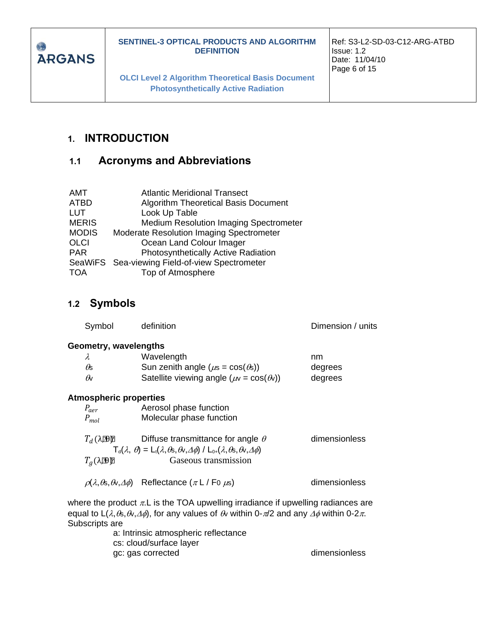

**OLCI Level 2 Algorithm Theoretical Basis Document Photosynthetically Active Radiation**

Ref: S3-L2-SD-03-C12-ARG-ATBD Issue: 1.2 Date: 11/04/10 Page 6 of 15

## <span id="page-5-0"></span>**1. INTRODUCTION**

## <span id="page-5-1"></span>**1.1 Acronyms and Abbreviations**

| <b>Atlantic Meridional Transect</b>             |
|-------------------------------------------------|
| <b>Algorithm Theoretical Basis Document</b>     |
| Look Up Table                                   |
| <b>Medium Resolution Imaging Spectrometer</b>   |
| <b>Moderate Resolution Imaging Spectrometer</b> |
| Ocean Land Colour Imager                        |
| Photosynthetically Active Radiation             |
| SeaWiFS Sea-viewing Field-of-view Spectrometer  |
| Top of Atmosphere                               |
|                                                 |

#### <span id="page-5-2"></span>**1.2 Symbols**

| Symbol                        | definition                                                                                                              | Dimension / units |  |  |  |
|-------------------------------|-------------------------------------------------------------------------------------------------------------------------|-------------------|--|--|--|
| Geometry, wavelengths         |                                                                                                                         |                   |  |  |  |
| λ                             | Wavelength                                                                                                              | nm                |  |  |  |
| Os                            | Sun zenith angle ( $\mu$ s = cos( $\theta$ s))                                                                          | degrees           |  |  |  |
| $\theta$                      | Satellite viewing angle ( $\mu$ v = cos( $\theta$ ))                                                                    | degrees           |  |  |  |
| <b>Atmospheric properties</b> |                                                                                                                         |                   |  |  |  |
| $P_{aer}$                     | Aerosol phase function                                                                                                  |                   |  |  |  |
| $P_{mol}$                     | Molecular phase function                                                                                                |                   |  |  |  |
| $T_d$ ( $\lambda$ ED)         | Diffuse transmittance for angle $\theta$                                                                                | dimensionless     |  |  |  |
|                               | $T_d(\lambda, \theta) = L_1(\lambda, \theta_s, \theta_v, \Delta\phi) / L_{0+}(\lambda, \theta_s, \theta_v, \Delta\phi)$ |                   |  |  |  |
| $T_a(\lambda \mathbb{D})$     | Gaseous transmission                                                                                                    |                   |  |  |  |
|                               | $\rho(\lambda,\theta_{\rm S},\theta_{\rm V},\Delta\phi)$ Reflectance $(\pi L / F_0 \mu_{\rm S})$                        | dimensionless     |  |  |  |
|                               | where the product $\pi$ . Lis the TOA upwelling irradiance if upwelling radiances are                                   |                   |  |  |  |

equal to  $L(\lambda,\theta,\theta,\Delta\phi)$ , for any values of  $\theta$  within 0- $\pi/2$  and any  $\Delta\phi$  within 0-2 $\pi$ . Subscripts are

a: Intrinsic atmospheric reflectance cs: cloud/surface layer gc: gas corrected dimensionless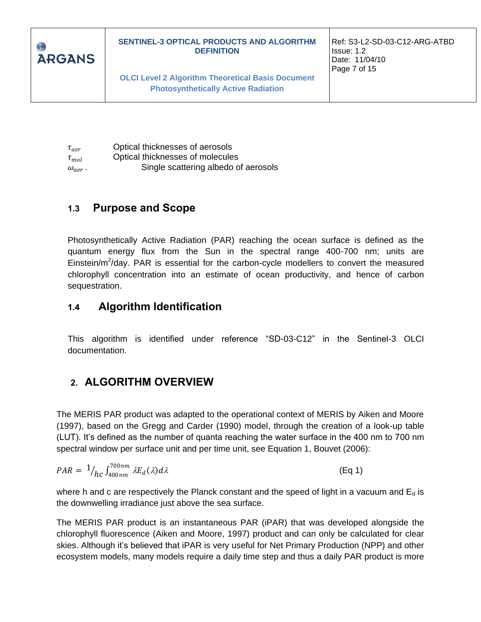

 $\tau_{\textit{aer}}$  Optical thicknesses of aerosols  $\tau_{mol}$  Optical thicknesses of molecules  $\omega_{aer}$  . . Single scattering albedo of aerosols

## <span id="page-6-0"></span>**1.3 Purpose and Scope**

Photosynthetically Active Radiation (PAR) reaching the ocean surface is defined as the quantum energy flux from the Sun in the spectral range 400-700 nm; units are Einstein/ $m^2$ /day. PAR is essential for the carbon-cycle modellers to convert the measured chlorophyll concentration into an estimate of ocean productivity, and hence of carbon sequestration.

## <span id="page-6-1"></span>**1.4 Algorithm Identification**

This algorithm is identified under reference "SD-03-C12" in the Sentinel-3 OLCI documentation.

## <span id="page-6-2"></span>**2. ALGORITHM OVERVIEW**

The MERIS PAR product was adapted to the operational context of MERIS by Aiken and Moore (1997), based on the Gregg and Carder (1990) model, through the creation of a look-up table (LUT). It's defined as the number of quanta reaching the water surface in the 400 nm to 700 nm spectral window per surface unit and per time unit, see Equation 1, Bouvet (2006):

$$
PAR = \frac{1}{hc} \int_{400nm}^{700nm} \lambda E_d(\lambda) d\lambda \tag{Eq 1}
$$

where h and c are respectively the Planck constant and the speed of light in a vacuum and  $E_d$  is the downwelling irradiance just above the sea surface.

The MERIS PAR product is an instantaneous PAR (iPAR) that was developed alongside the chlorophyll fluorescence (Aiken and Moore, 1997) product and can only be calculated for clear skies. Although it's believed that iPAR is very useful for Net Primary Production (NPP) and other ecosystem models, many models require a daily time step and thus a daily PAR product is more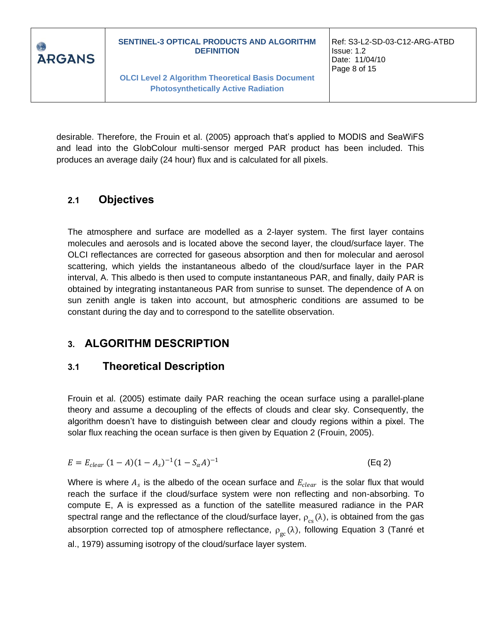

desirable. Therefore, the Frouin et al. (2005) approach that's applied to MODIS and SeaWiFS and lead into the GlobColour multi-sensor merged PAR product has been included. This produces an average daily (24 hour) flux and is calculated for all pixels.

## <span id="page-7-0"></span>**2.1 Objectives**

The atmosphere and surface are modelled as a 2-layer system. The first layer contains molecules and aerosols and is located above the second layer, the cloud/surface layer. The OLCI reflectances are corrected for gaseous absorption and then for molecular and aerosol scattering, which yields the instantaneous albedo of the cloud/surface layer in the PAR interval, A. This albedo is then used to compute instantaneous PAR, and finally, daily PAR is obtained by integrating instantaneous PAR from sunrise to sunset. The dependence of A on sun zenith angle is taken into account, but atmospheric conditions are assumed to be constant during the day and to correspond to the satellite observation.

## <span id="page-7-1"></span>**3. ALGORITHM DESCRIPTION**

## <span id="page-7-2"></span>**3.1 Theoretical Description**

Frouin et al. (2005) estimate daily PAR reaching the ocean surface using a parallel-plane theory and assume a decoupling of the effects of clouds and clear sky. Consequently, the algorithm doesn't have to distinguish between clear and cloudy regions within a pixel. The solar flux reaching the ocean surface is then given by Equation 2 (Frouin, 2005).

$$
E = E_{clear} (1 - A)(1 - A_s)^{-1} (1 - S_\alpha A)^{-1}
$$
 (Eq 2)

Where is where  $A_s$  is the albedo of the ocean surface and  $E_{clear}$  is the solar flux that would reach the surface if the cloud/surface system were non reflecting and non-absorbing. To compute E, A is expressed as a function of the satellite measured radiance in the PAR spectral range and the reflectance of the cloud/surface layer,  $\rho_{_{\text{CS}}}(\lambda)$ , is obtained from the gas absorption corrected top of atmosphere reflectance,  $\rho_{\rm gc}(\lambda)$ , following Equation 3 (Tanré et al., 1979) assuming isotropy of the cloud/surface layer system.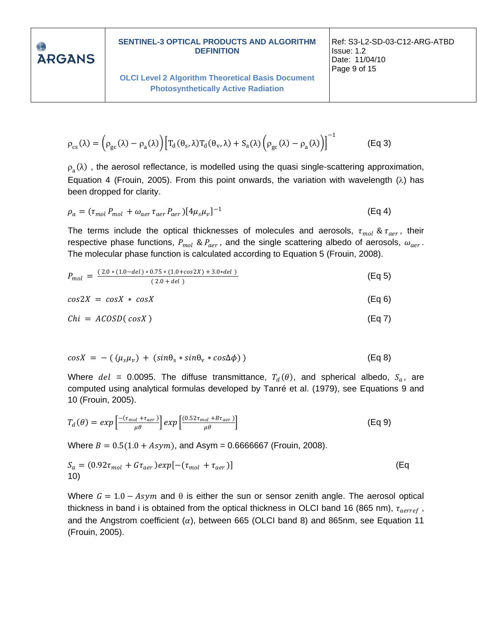**ARGANS** 

**OLCI Level 2 Algorithm Theoretical Basis Document Photosynthetically Active Radiation**

$$
\rho_{cs}(\lambda) = \left(\rho_{gc}(\lambda) - \rho_a(\lambda)\right) \left[T_d(\theta_s, \lambda) T_d(\theta_v, \lambda) + S_a(\lambda) \left(\rho_{gc}(\lambda) - \rho_a(\lambda)\right)\right]^{-1} \tag{Eq 3}
$$

 $\rho_a(\lambda)$  , the aerosol reflectance, is modelled using the quasi single-scattering approximation, Equation 4 (Frouin, 2005). From this point onwards, the variation with wavelength  $(\lambda)$  has been dropped for clarity.

$$
\rho_a = (\tau_{mol} P_{mol} + \omega_{aer} \tau_{aer} P_{aer}) [4\mu_s \mu_v]^{-1}
$$
\n(Eq 4)

The terms include the optical thicknesses of molecules and aerosols,  $\tau_{mol}$  &  $\tau_{aer}$ , their respective phase functions,  $P_{mol}$  &  $P_{aer}$ , and the single scattering albedo of aerosols,  $\omega_{aer}$ . The molecular phase function is calculated according to Equation 5 (Frouin, 2008).

$$
P_{mol} = \frac{(2.0*(1.0-del)*0.75*(1.0+cos2X)+3.0*del)}{(2.0+del)}
$$
(Eq 5)

$$
cos2X = cosX * cosX
$$
 (Eq 6)

$$
Chi = ACOSD(cosX)
$$
 (Eq 7)

$$
cos X = -((\mu_s \mu_v) + (sin \theta_s * sin \theta_v * cos \Delta \phi))
$$
 (Eq 8)

Where  $del = 0.0095$ . The diffuse transmittance,  $T_d(\theta)$ , and spherical albedo,  $S_a$ , are computed using analytical formulas developed by Tanré et al. (1979), see Equations 9 and 10 (Frouin, 2005).

$$
T_d(\theta) = exp\left[\frac{-(\tau_{mol} + \tau_{aer})}{\mu\theta}\right] exp\left[\frac{(0.52\tau_{mol} + B\tau_{aer})}{\mu\theta}\right]
$$
(Eq 9)

Where  $B = 0.5(1.0 + A<sub>S</sub>y<sub>m</sub>)$ , and Asym = 0.6666667 (Frouin, 2008).

$$
S_a = (0.92\tau_{mol} + G\tau_{aer})exp[-(\tau_{mol} + \tau_{aer})]
$$
\n(Eq)

Where  $G = 1.0 - Asym$  and  $\theta$  is either the sun or sensor zenith angle. The aerosol optical thickness in band i is obtained from the optical thickness in OLCI band 16 (865 nm),  $\tau_{aerref}$  , and the Angstrom coefficient  $(\alpha)$ , between 665 (OLCI band 8) and 865nm, see Equation 11 (Frouin, 2005).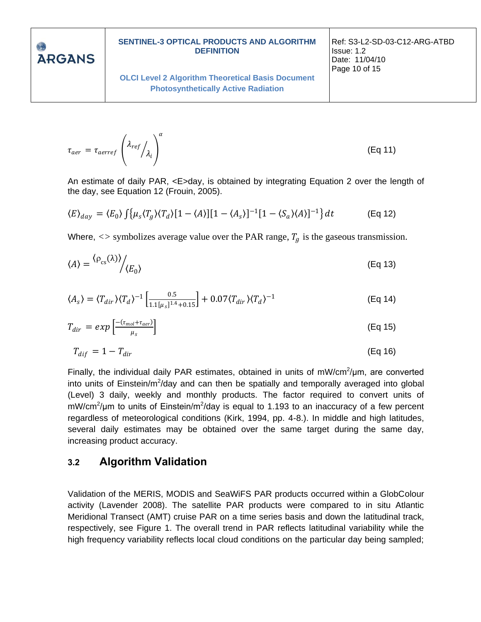**ARGANS** 

#### **SENTINEL-3 OPTICAL PRODUCTS AND ALGORITHM DEFINITION**

**OLCI Level 2 Algorithm Theoretical Basis Document Photosynthetically Active Radiation**

Ref: S3-L2-SD-03-C12-ARG-ATBD Issue: 1.2 Date: 11/04/10 Page 10 of 15

(Eq 11)

$$
\tau_{aer} = \tau_{aerref} \left( \lambda_{ref} / \lambda_i \right)^{a}
$$

 $\cdot$   $\alpha$ 

An estimate of daily PAR, <E>day, is obtained by integrating Equation 2 over the length of the day, see Equation 12 (Frouin, 2005).

$$
\langle E \rangle_{day} = \langle E_0 \rangle \int \left\{ \mu_s \langle T_g \rangle \langle T_d \rangle [1 - \langle A \rangle] [1 - \langle A_s \rangle]^{-1} [1 - \langle S_a \rangle \langle A \rangle]^{-1} \right\} dt \tag{Eq 12}
$$

Where,  $\langle \rangle$  symbolizes average value over the PAR range,  $T_q$  is the gaseous transmission.

$$
\langle A \rangle = \frac{\langle \rho_{cs}(\lambda) \rangle}{\langle E_0 \rangle} \tag{Eq 13}
$$

$$
\langle A_s \rangle = \langle T_{dir} \rangle \langle T_d \rangle^{-1} \left[ \frac{0.5}{1.1[\mu_s]^{1.4} + 0.15} \right] + 0.07 \langle T_{dir} \rangle \langle T_d \rangle^{-1} \tag{Eq 14}
$$

$$
T_{dir} = exp\left[\frac{-(\tau_{mol} + \tau_{aer})}{\mu_s}\right]
$$
 (Eq 15)

$$
T_{dif} = 1 - T_{dir} \tag{Eq 16}
$$

Finally, the individual daily PAR estimates, obtained in units of  $mW/cm^2/\mu m$ , are converted into units of Einstein/m<sup>2</sup>/day and can then be spatially and temporally averaged into global (Level) 3 daily, weekly and monthly products. The factor required to convert units of mW/cm<sup>2</sup>/µm to units of Einstein/m<sup>2</sup>/day is equal to 1.193 to an inaccuracy of a few percent regardless of meteorological conditions (Kirk, 1994, pp. 4-8.). In middle and high latitudes, several daily estimates may be obtained over the same target during the same day, increasing product accuracy.

#### <span id="page-9-0"></span>**3.2 Algorithm Validation**

Validation of the MERIS, MODIS and SeaWiFS PAR products occurred within a GlobColour activity (Lavender 2008). The satellite PAR products were compared to in situ Atlantic Meridional Transect (AMT) cruise PAR on a time series basis and down the latitudinal track, respectively, see Figure 1. The overall trend in PAR reflects latitudinal variability while the high frequency variability reflects local cloud conditions on the particular day being sampled;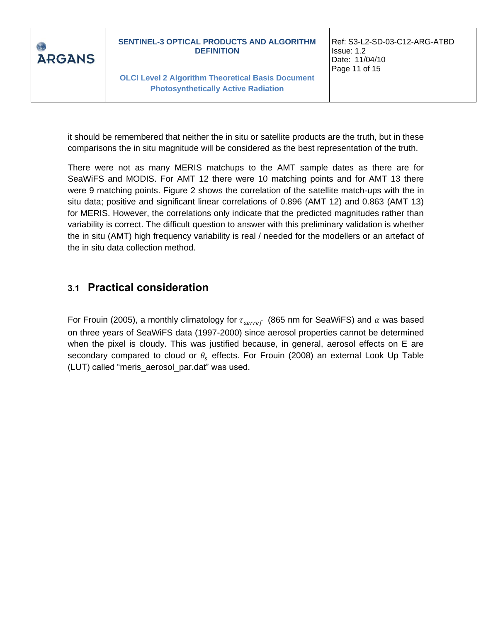

**OLCI Level 2 Algorithm Theoretical Basis Document Photosynthetically Active Radiation**

Ref: S3-L2-SD-03-C12-ARG-ATBD Issue: 1.2 Date: 11/04/10 Page 11 of 15

it should be remembered that neither the in situ or satellite products are the truth, but in these comparisons the in situ magnitude will be considered as the best representation of the truth.

There were not as many MERIS matchups to the AMT sample dates as there are for SeaWiFS and MODIS. For AMT 12 there were 10 matching points and for AMT 13 there were 9 matching points. Figure 2 shows the correlation of the satellite match-ups with the in situ data; positive and significant linear correlations of 0.896 (AMT 12) and 0.863 (AMT 13) for MERIS. However, the correlations only indicate that the predicted magnitudes rather than variability is correct. The difficult question to answer with this preliminary validation is whether the in situ (AMT) high frequency variability is real / needed for the modellers or an artefact of the in situ data collection method.

## <span id="page-10-0"></span>**3.1 Practical consideration**

For Frouin (2005), a monthly climatology for  $\tau_{aerref}$  (865 nm for SeaWiFS) and  $\alpha$  was based on three years of SeaWiFS data (1997-2000) since aerosol properties cannot be determined when the pixel is cloudy. This was justified because, in general, aerosol effects on E are secondary compared to cloud or  $\theta_s$  effects. For Frouin (2008) an external Look Up Table (LUT) called "meris\_aerosol\_par.dat" was used.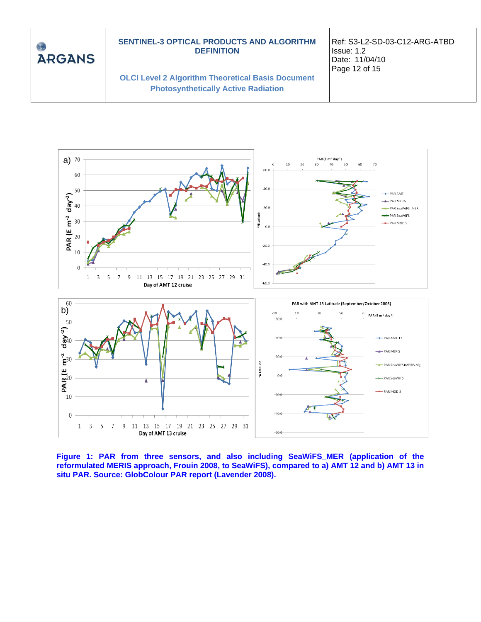



<span id="page-11-0"></span>**Figure 1: PAR from three sensors, and also including SeaWiFS\_MER (application of the reformulated MERIS approach, Frouin 2008, to SeaWiFS), compared to a) AMT 12 and b) AMT 13 in situ PAR. Source: GlobColour PAR report (Lavender 2008).**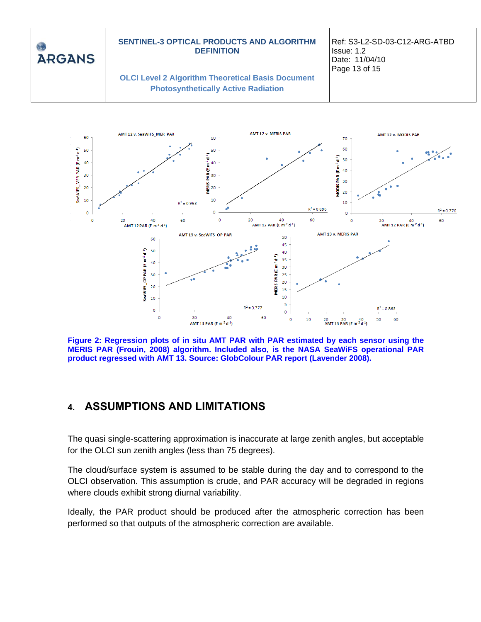<span id="page-12-1"></span>

**Figure 2: Regression plots of in situ AMT PAR with PAR estimated by each sensor using the MERIS PAR (Frouin, 2008) algorithm. Included also, is the NASA SeaWiFS operational PAR product regressed with AMT 13. Source: GlobColour PAR report (Lavender 2008).**

## <span id="page-12-0"></span>**4. ASSUMPTIONS AND LIMITATIONS**

The quasi single-scattering approximation is inaccurate at large zenith angles, but acceptable for the OLCI sun zenith angles (less than 75 degrees).

The cloud/surface system is assumed to be stable during the day and to correspond to the OLCI observation. This assumption is crude, and PAR accuracy will be degraded in regions where clouds exhibit strong diurnal variability.

Ideally, the PAR product should be produced after the atmospheric correction has been performed so that outputs of the atmospheric correction are available.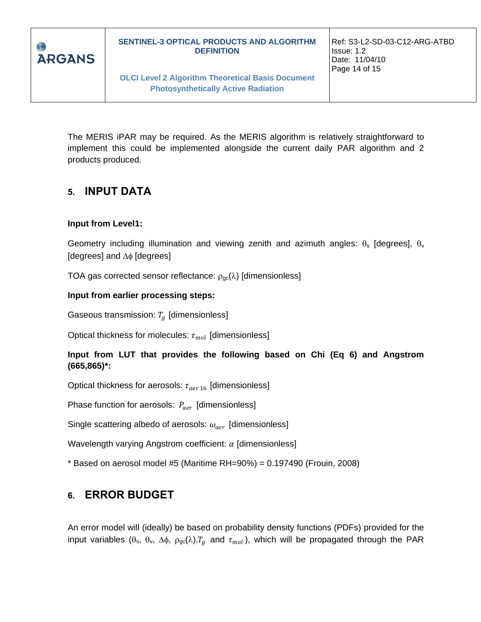

**OLCI Level 2 Algorithm Theoretical Basis Document Photosynthetically Active Radiation**

The MERIS iPAR may be required. As the MERIS algorithm is relatively straightforward to implement this could be implemented alongside the current daily PAR algorithm and 2 products produced.

## <span id="page-13-0"></span>**5. INPUT DATA**

#### **Input from Level1:**

Geometry including illumination and viewing zenith and azimuth angles:  $\theta_s$  [degrees],  $\theta_v$ [degrees] and  $\Delta\phi$  [degrees]

TOA gas corrected sensor reflectance:  $\rho_{gc}(\lambda)$  [dimensionless]

#### **Input from earlier processing steps:**

Gaseous transmission:  $T_a$  [dimensionless]

Optical thickness for molecules:  $\tau_{mol}$  [dimensionless]

**Input from LUT that provides the following based on Chi (Eq 6) and Angstrom (665,865)\*:**

Optical thickness for aerosols:  $\tau_{aer 16}$  [dimensionless]

Phase function for aerosols:  $P_{aer}$  [dimensionless]

Single scattering albedo of aerosols:  $\omega_{aer}$  [dimensionless]

Wavelength varying Angstrom coefficient:  $\alpha$  [dimensionless]

 $*$  Based on aerosol model #5 (Maritime RH=90%) = 0.197490 (Frouin, 2008)

## <span id="page-13-1"></span>**6. ERROR BUDGET**

An error model will (ideally) be based on probability density functions (PDFs) provided for the input variables ( $\theta_s$ ,  $\theta_v$ ,  $\Delta\phi$ ,  $\rho_{gc}(\lambda)$ ,  $T_g$  and  $\tau_{mol}$ ), which will be propagated through the PAR